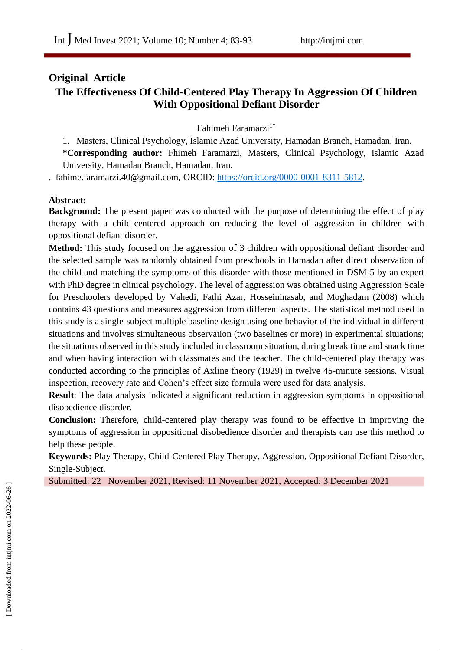# **Original Article The Effectiveness Of Child-Centered Play Therapy In Aggression Of Children With Oppositional Defiant Disorder**

Fahimeh Faramarzi1\*

1. Masters, Clinical Psychology, Islamic Azad University, Hamadan Branch, Hamadan, Iran. **\*Corresponding author:** Fhimeh Faramarzi, Masters, Clinical Psychology, Islamic Azad University, Hamadan Branch, Hamadan, Iran.

. fahime.faramarzi.40@gmail.com, ORCID: [https://orcid.org/0000-0001-8311-5812.](https://orcid.org/0000-0001-8311-5812)

## **Abstract:**

**Background:** The present paper was conducted with the purpose of determining the effect of play therapy with a child-centered approach on reducing the level of aggression in children with oppositional defiant disorder.

**Method:** This study focused on the aggression of 3 children with oppositional defiant disorder and the selected sample was randomly obtained from preschools in Hamadan after direct observation of the child and matching the symptoms of this disorder with those mentioned in DSM-5 by an expert with PhD degree in clinical psychology. The level of aggression was obtained using Aggression Scale for Preschoolers developed by Vahedi, Fathi Azar, Hosseininasab, and Moghadam (2008) which contains 43 questions and measures aggression from different aspects. The statistical method used in this study is a single-subject multiple baseline design using one behavior of the individual in different situations and involves simultaneous observation (two baselines or more) in experimental situations; the situations observed in this study included in classroom situation, during break time and snack time and when having interaction with classmates and the teacher. The child-centered play therapy was conducted according to the principles of Axline theory (1929) in twelve 45-minute sessions. Visual inspection, recovery rate and Cohen's effect size formula were used for data analysis.

**Result**: The data analysis indicated a significant reduction in aggression symptoms in oppositional disobedience disorder.

**Conclusion:** Therefore, child-centered play therapy was found to be effective in improving the symptoms of aggression in oppositional disobedience disorder and therapists can use this method to help these people.

**Keywords:** Play Therapy, Child-Centered Play Therapy, Aggression, Oppositional Defiant Disorder, Single-Subject.

Submitted: 22 November 2021, Revised: 11 November 2021, Accepted: 3 December 2021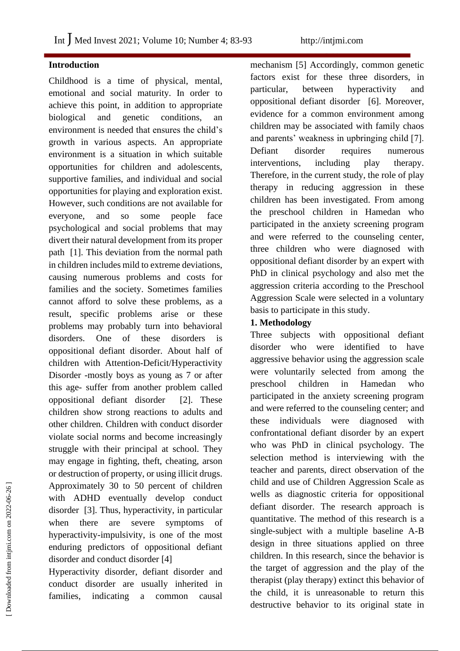## **Introduction**

Childhood is a time of physical, mental, emotional and social maturity. In order to achieve this point, in addition to appropriate biological and genetic conditions, an environment is needed that ensures the child's growth in various aspects. An appropriate environment is a situation in which suitable opportunities for children and adolescents, supportive families, and individual and social opportunities for playing and exploration exist. However, such conditions are not available for everyone, and so some people face psychological and social problems that may divert their natural development from its proper path [1]. This deviation from the normal path in children includes mild to extreme deviations, causing numerous problems and costs for families and the society. Sometimes families cannot afford to solve these problems, as a result, specific problems arise or these problems may probably turn into behavioral disorders. One of these disorders is oppositional defiant disorder. About half of children with Attention-Deficit/Hyperactivity Disorder -mostly boys as young as 7 or after this age- suffer from another problem called oppositional defiant disorder [2]. These children show strong reactions to adults and other children. Children with conduct disorder violate social norms and become increasingly struggle with their principal at school. They may engage in fighting, theft, cheating, arson or destruction of property, or using illicit drugs. Approximately 30 to 50 percent of children with ADHD eventually develop conduct disorder [3]. Thus, hyperactivity, in particular when there are severe symptoms of hyperactivity-impulsivity, is one of the most enduring predictors of oppositional defiant disorder and conduct disorder [4]

Hyperactivity disorder, defiant disorder and conduct disorder are usually inherited in families, indicating a common causal

mechanism [5] Accordingly, common genetic factors exist for these three disorders, in particular, between hyperactivity and oppositional defiant disorder [6]. Moreover, evidence for a common environment among children may be associated with family chaos and parents' weakness in upbringing child [7]. Defiant disorder requires numerous interventions, including play therapy. Therefore, in the current study, the role of play therapy in reducing aggression in these children has been investigated. From among the preschool children in Hamedan who participated in the anxiety screening program and were referred to the counseling center, three children who were diagnosed with oppositional defiant disorder by an expert with PhD in clinical psychology and also met the aggression criteria according to the Preschool Aggression Scale were selected in a voluntary basis to participate in this study.

### **1. Methodology**

Three subjects with oppositional defiant disorder who were identified to have aggressive behavior using the aggression scale were voluntarily selected from among the preschool children in Hamedan who participated in the anxiety screening program and were referred to the counseling center; and these individuals were diagnosed with confrontational defiant disorder by an expert who was PhD in clinical psychology. The selection method is interviewing with the teacher and parents, direct observation of the child and use of Children Aggression Scale as wells as diagnostic criteria for oppositional defiant disorder. The research approach is quantitative. The method of this research is a single-subject with a multiple baseline A-B design in three situations applied on three children. In this research, since the behavior is the target of aggression and the play of the therapist (play therapy) extinct this behavior of the child, it is unreasonable to return this destructive behavior to its original state in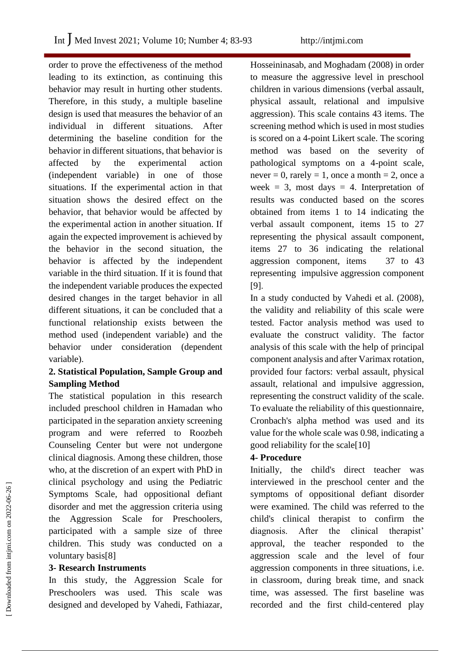order to prove the effectiveness of the method leading to its extinction, as continuing this behavior may result in hurting other students. Therefore, in this study, a multiple baseline design is used that measures the behavior of an individual in different situations. After determining the baseline condition for the behavior in different situations, that behavior is affected by the experimental action (independent variable) in one of those situations. If the experimental action in that situation shows the desired effect on the behavior, that behavior would be affected by the experimental action in another situation. If again the expected improvement is achieved by the behavior in the second situation, the behavior is affected by the independent variable in the third situation. If it is found that the independent variable produces the expected desired changes in the target behavior in all different situations, it can be concluded that a functional relationship exists between the method used (independent variable) and the behavior under consideration (dependent variable).

## **2. Statistical Population, Sample Group and Sampling Method**

The statistical population in this research included preschool children in Hamadan who participated in the separation anxiety screening program and were referred to Roozbeh Counseling Center but were not undergone clinical diagnosis. Among these children, those who, at the discretion of an expert with PhD in clinical psychology and using the Pediatric Symptoms Scale, had oppositional defiant disorder and met the aggression criteria using the Aggression Scale for Preschoolers, participated with a sample size of three children. This study was conducted on a voluntary basis[8]

## **3- Research Instruments**

In this study, the Aggression Scale for Preschoolers was used. This scale was designed and developed by Vahedi, Fathiazar, Hosseininasab, and Moghadam (2008) in order to measure the aggressive level in preschool children in various dimensions (verbal assault, physical assault, relational and impulsive aggression). This scale contains 43 items. The screening method which is used in most studies is scored on a 4-point Likert scale. The scoring method was based on the severity of pathological symptoms on a 4-point scale, never = 0, rarely = 1, once a month = 2, once a week = 3, most days = 4. Interpretation of results was conducted based on the scores obtained from items 1 to 14 indicating the verbal assault component, items 15 to 27 representing the physical assault component, items 27 to 36 indicating the relational aggression component, items 37 to 43 representing impulsive aggression component [9].

In a study conducted by Vahedi et al. (2008), the validity and reliability of this scale were tested. Factor analysis method was used to evaluate the construct validity. The factor analysis of this scale with the help of principal component analysis and after Varimax rotation, provided four factors: verbal assault, physical assault, relational and impulsive aggression, representing the construct validity of the scale. To evaluate the reliability of this questionnaire, Cronbach's alpha method was used and its value for the whole scale was 0.98, indicating a good reliability for the scale[10]

## **4- Procedure**

Initially, the child's direct teacher was interviewed in the preschool center and the symptoms of oppositional defiant disorder were examined. The child was referred to the child's clinical therapist to confirm the diagnosis. After the clinical therapist' approval, the teacher responded to the aggression scale and the level of four aggression components in three situations, i.e. in classroom, during break time, and snack time, was assessed. The first baseline was recorded and the first child-centered play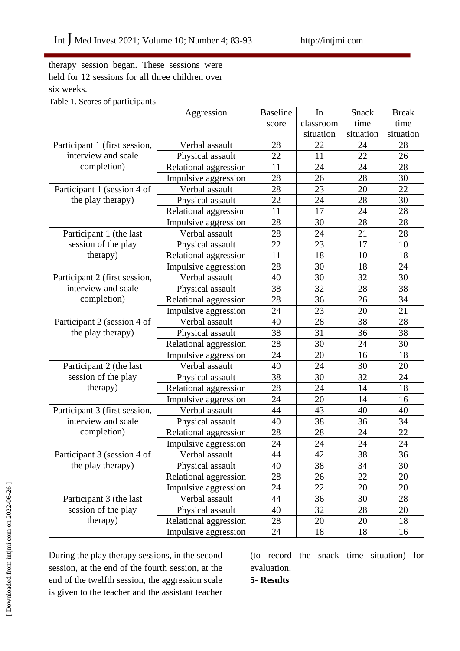therapy session began. These sessions were held for 12 sessions for all three children over six weeks.

|  | Table 1. Scores of participants |  |  |
|--|---------------------------------|--|--|
|  |                                 |  |  |

|                               | Aggression            | <b>Baseline</b> | In        | Snack     | <b>Break</b> |
|-------------------------------|-----------------------|-----------------|-----------|-----------|--------------|
|                               |                       | score           | classroom | time      | time         |
|                               |                       |                 | situation | situation | situation    |
| Participant 1 (first session, | Verbal assault        | 28              | 22        | 24        | 28           |
| interview and scale           | Physical assault      | 22              | 11        | 22        | 26           |
| completion)                   | Relational aggression | 11              | 24        | 24        | 28           |
|                               | Impulsive aggression  | 28              | 26        | 28        | 30           |
| Participant 1 (session 4 of   | Verbal assault        | 28              | 23        | 20        | 22           |
| the play therapy)             | Physical assault      | 22              | 24        | 28        | 30           |
|                               | Relational aggression | 11              | 17        | 24        | 28           |
|                               | Impulsive aggression  | 28              | 30        | 28        | 28           |
| Participant 1 (the last       | Verbal assault        | 28              | 24        | 21        | 28           |
| session of the play           | Physical assault      | 22              | 23        | 17        | 10           |
| therapy)                      | Relational aggression | 11              | 18        | 10        | 18           |
|                               | Impulsive aggression  | 28              | 30        | 18        | 24           |
| Participant 2 (first session, | Verbal assault        | 40              | 30        | 32        | 30           |
| interview and scale           | Physical assault      | 38              | 32        | 28        | 38           |
| completion)                   | Relational aggression | 28              | 36        | 26        | 34           |
|                               | Impulsive aggression  | 24              | 23        | 20        | 21           |
| Participant 2 (session 4 of   | Verbal assault        | 40              | 28        | 38        | 28           |
| the play therapy)             | Physical assault      | 38              | 31        | 36        | 38           |
|                               | Relational aggression | 28              | 30        | 24        | 30           |
|                               | Impulsive aggression  | 24              | 20        | 16        | 18           |
| Participant 2 (the last       | Verbal assault        | 40              | 24        | 30        | 20           |
| session of the play           | Physical assault      | 38              | 30        | 32        | 24           |
| therapy)                      | Relational aggression | 28              | 24        | 14        | 18           |
|                               | Impulsive aggression  | 24              | 20        | 14        | 16           |
| Participant 3 (first session, | Verbal assault        | 44              | 43        | 40        | 40           |
| interview and scale           | Physical assault      | 40              | 38        | 36        | 34           |
| completion)                   | Relational aggression | 28              | 28        | 24        | 22           |
|                               | Impulsive aggression  | 24              | 24        | 24        | 24           |
| Participant 3 (session 4 of   | Verbal assault        | 44              | 42        | 38        | 36           |
| the play therapy)             | Physical assault      | 40              | 38        | 34        | 30           |
|                               | Relational aggression | 28              | 26        | 22        | 20           |
|                               | Impulsive aggression  | 24              | 22        | 20        | 20           |
| Participant 3 (the last       | Verbal assault        | 44              | 36        | 30        | 28           |
| session of the play           | Physical assault      | 40              | 32        | 28        | 20           |
| therapy)                      | Relational aggression | 28              | 20        | 20        | 18           |
|                               | Impulsive aggression  | 24              | 18        | 18        | 16           |

During the play therapy sessions, in the second session, at the end of the fourth session, at the end of the twelfth session, the aggression scale is given to the teacher and the assistant teacher (to record the snack time situation) for evaluation.

**5- Results**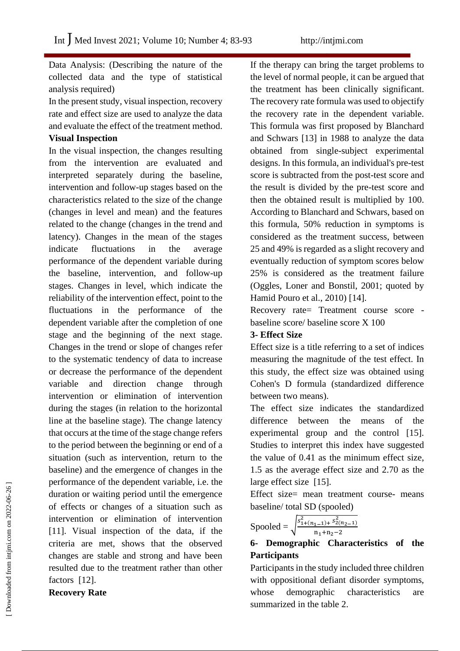Data Analysis: (Describing the nature of the collected data and the type of statistical analysis required)

In the present study, visual inspection, recovery rate and effect size are used to analyze the data and evaluate the effect of the treatment method.

#### **Visual Inspection**

In the visual inspection, the changes resulting from the intervention are evaluated and interpreted separately during the baseline, intervention and follow-up stages based on the characteristics related to the size of the change (changes in level and mean) and the features related to the change (changes in the trend and latency). Changes in the mean of the stages indicate fluctuations in the average performance of the dependent variable during the baseline, intervention, and follow-up stages. Changes in level, which indicate the reliability of the intervention effect, point to the fluctuations in the performance of the dependent variable after the completion of one stage and the beginning of the next stage. Changes in the trend or slope of changes refer to the systematic tendency of data to increase or decrease the performance of the dependent variable and direction change through intervention or elimination of intervention during the stages (in relation to the horizontal line at the baseline stage). The change latency that occurs at the time of the stage change refers to the period between the beginning or end of a situation (such as intervention, return to the baseline) and the emergence of changes in the performance of the dependent variable, i.e. the duration or waiting period until the emergence of effects or changes of a situation such as intervention or elimination of intervention [11]. Visual inspection of the data, if the criteria are met, shows that the observed changes are stable and strong and have been resulted due to the treatment rather than other factors [12].

**Recovery Rate** 

If the therapy can bring the target problems to the level of normal people, it can be argued that the treatment has been clinically significant. The recovery rate formula was used to objectify the recovery rate in the dependent variable. This formula was first proposed by Blanchard and Schwars [13] in 1988 to analyze the data obtained from single-subject experimental designs. In this formula, an individual's pre-test score is subtracted from the post-test score and the result is divided by the pre-test score and then the obtained result is multiplied by 100. According to Blanchard and Schwars, based on this formula, 50% reduction in symptoms is considered as the treatment success, between 25 and 49% is regarded as a slight recovery and eventually reduction of symptom scores below 25% is considered as the treatment failure (Oggles, Loner and Bonstil, 2001; quoted by Hamid Pouro et al., 2010) [14].

Recovery rate= Treatment course score baseline score/ baseline score X 100

#### **3- Effect Size**

Effect size is a title referring to a set of indices measuring the magnitude of the test effect. In this study, the effect size was obtained using Cohen's D formula (standardized difference between two means).

The effect size indicates the standardized difference between the means of the experimental group and the control [15]. Studies to interpret this index have suggested the value of 0.41 as the minimum effect size, 1.5 as the average effect size and 2.70 as the large effect size [15].

Effect size= mean treatment course- means baseline/ total SD (spooled)

$$
Spooled = \sqrt{\frac{s_{1+(n_{1}-1)+}^{2} s_{2(n_{2}-1)}^{2}}{n_{1}+n_{2}-2}}
$$

## **6- Demographic Characteristics of the Participants**

Participants in the study included three children with oppositional defiant disorder symptoms, whose demographic characteristics are summarized in the table 2.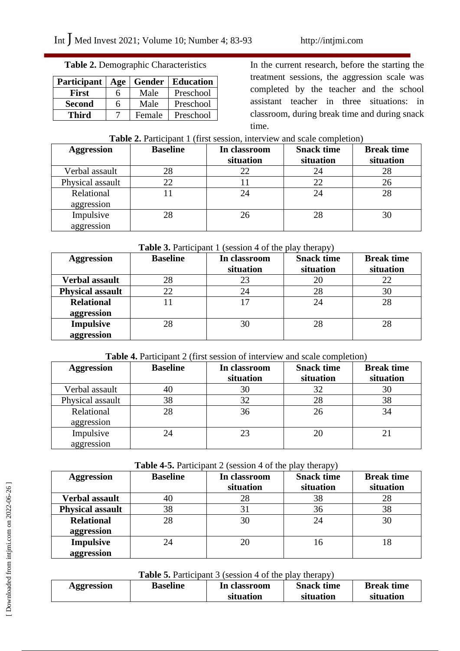### **Table 2.** Demographic Characteristics

| <b>Participant</b> | Age |        | <b>Gender</b>   Education |
|--------------------|-----|--------|---------------------------|
| First              | h   | Male   | Preschool                 |
| <b>Second</b>      | 6   | Male   | Preschool                 |
| Third              |     | Female | Preschool                 |

In the current research, before the starting the treatment sessions, the aggression scale was completed by the teacher and the school assistant teacher in three situations: in classroom, during break time and during snack time.

#### **Table 2.** Participant 1 (first session, interview and scale completion)

| <b>Aggression</b> | <b>Baseline</b> | In classroom<br>situation | <b>Snack time</b><br>situation | <b>Break time</b><br>situation |
|-------------------|-----------------|---------------------------|--------------------------------|--------------------------------|
|                   |                 |                           |                                |                                |
| Verbal assault    | 28              | 22                        | 24                             | 28                             |
| Physical assault  | 22              |                           | 22                             | 26                             |
| Relational        |                 | 24                        | 24                             | 28                             |
| aggression        |                 |                           |                                |                                |
| Impulsive         | 28              | 26                        | 28                             | 30                             |
| aggression        |                 |                           |                                |                                |

#### **Table 3.** Participant 1 (session 4 of the play therapy)

| <b>Aggression</b>       | <b>Baseline</b> | In classroom<br>situation | <b>Snack time</b><br>situation | <b>Break time</b><br>situation |
|-------------------------|-----------------|---------------------------|--------------------------------|--------------------------------|
|                         |                 |                           |                                |                                |
| Verbal assault          | 28              | 23                        | 20                             | 22                             |
| <b>Physical assault</b> | 22              | 24                        | 28                             | 30                             |
| <b>Relational</b>       |                 |                           | 24                             | 28                             |
| aggression              |                 |                           |                                |                                |
| <b>Impulsive</b>        | 28              | 30                        | 28                             | 28                             |
| aggression              |                 |                           |                                |                                |

#### **Table 4.** Participant 2 (first session of interview and scale completion)

| <b>Aggression</b> | <b>Baseline</b> | In classroom<br>situation | <b>Snack time</b><br>situation | <b>Break time</b><br>situation |
|-------------------|-----------------|---------------------------|--------------------------------|--------------------------------|
| Verbal assault    | 40              | 30                        | 32                             | 30                             |
| Physical assault  | 38              | 32                        | 28                             | 38                             |
| Relational        | 28              | 36                        | 26                             | 34                             |
| aggression        |                 |                           |                                |                                |
| Impulsive         |                 | 23                        | 20                             |                                |
| aggression        |                 |                           |                                |                                |

#### **Table 4-5.** Participant 2 (session 4 of the play therapy)

| <b>Aggression</b>       | <b>Baseline</b> | In classroom | <b>Snack time</b> | <b>Break time</b> |
|-------------------------|-----------------|--------------|-------------------|-------------------|
|                         |                 | situation    | situation         | situation         |
| <b>Verbal assault</b>   | 40              | 28           | 38                | 28                |
| <b>Physical assault</b> | 38              | 31           | 36                | 38                |
| <b>Relational</b>       | 28              | 30           | 24                | 30                |
| aggression              |                 |              |                   |                   |
| <b>Impulsive</b>        |                 |              | 16                | 18                |
| aggression              |                 |              |                   |                   |

## **Table 5.** Participant 3 (session 4 of the play therapy)

| <b>Aggression</b> | <b>Baseline</b> | In classroom | <b>Snack time</b> | <b>Break time</b> |  |
|-------------------|-----------------|--------------|-------------------|-------------------|--|
|                   |                 | situation    | situation         | situation         |  |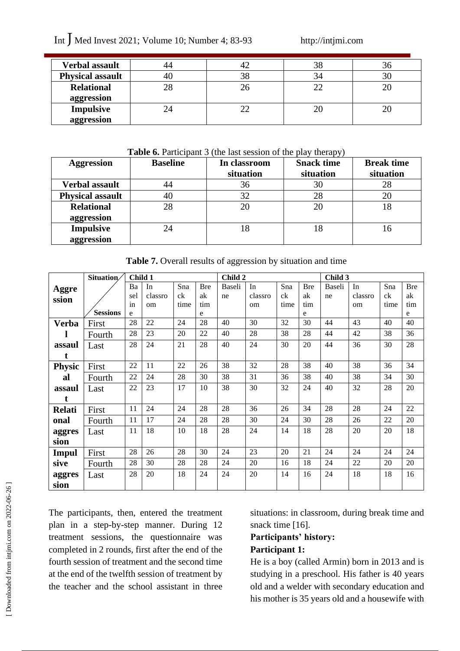# Int  $\int$  Med Invest 2021; Volume 10; Number 4; 83-93 http://intjmi.com

| <b>Verbal assault</b>   |    |  | эс |
|-------------------------|----|--|----|
| <b>Physical assault</b> |    |  |    |
| <b>Relational</b>       | 28 |  |    |
| aggression              |    |  |    |
| <b>Impulsive</b>        |    |  |    |
| aggression              |    |  |    |

#### **Table 6.** Participant 3 (the last session of the play therapy)

| <b>Aggression</b>       | <b>Baseline</b> | In classroom | <b>Snack time</b> | <b>Break time</b> |
|-------------------------|-----------------|--------------|-------------------|-------------------|
|                         |                 | situation    | situation         | situation         |
| <b>Verbal assault</b>   |                 | 36           | 30                | 28                |
| <b>Physical assault</b> | 40              | 32           | 28                | 20                |
| <b>Relational</b>       | 28              |              | 20                | 18                |
| aggression              |                 |              |                   |                   |
| <b>Impulsive</b>        |                 | 18           | 18                | 16                |
| aggression              |                 |              |                   |                   |

Table 7. Overall results of aggression by situation and time

|               | Situation/      | Child 1 |         |      |            | Child 2 |         |      |            | Child 3 |         |      |            |
|---------------|-----------------|---------|---------|------|------------|---------|---------|------|------------|---------|---------|------|------------|
| <b>Aggre</b>  |                 | Ba      | In      | Sna  | <b>Bre</b> | Baseli  | In      | Sna  | <b>Bre</b> | Baseli  | In      | Sna  | <b>Bre</b> |
| ssion         |                 | sel     | classro | ck   | ak         | ne      | classro | ck   | ak         | ne      | classro | ck   | ak         |
|               |                 | 1n      | om      | time | tim        |         | om      | time | tim        |         | om      | time | tim        |
|               | <b>Sessions</b> | e       |         |      | e          |         |         |      | e          |         |         |      | e          |
| Verba         | First           | 28      | 22      | 24   | 28         | 40      | 30      | 32   | 30         | 44      | 43      | 40   | 40         |
|               | Fourth          | 28      | 23      | 20   | 22         | 40      | 28      | 38   | 28         | 44      | 42      | 38   | 36         |
| assaul        | Last            | 28      | 24      | 21   | 28         | 40      | 24      | 30   | 20         | 44      | 36      | 30   | 28         |
| t             |                 |         |         |      |            |         |         |      |            |         |         |      |            |
| <b>Physic</b> | First           | 22      | 11      | 22   | 26         | 38      | 32      | 28   | 38         | 40      | 38      | 36   | 34         |
| al            | Fourth          | 22      | 24      | 28   | 30         | 38      | 31      | 36   | 38         | 40      | 38      | 34   | 30         |
| assaul        | Last            | 22      | 23      | 17   | 10         | 38      | 30      | 32   | 24         | 40      | 32      | 28   | 20         |
| t             |                 |         |         |      |            |         |         |      |            |         |         |      |            |
| <b>Relati</b> | First           | 11      | 24      | 24   | 28         | 28      | 36      | 26   | 34         | 28      | 28      | 24   | 22         |
| onal          | Fourth          | 11      | 17      | 24   | 28         | 28      | 30      | 24   | 30         | 28      | 26      | 22   | 20         |
| aggres        | Last            | 11      | 18      | 10   | 18         | 28      | 24      | 14   | 18         | 28      | 20      | 20   | 18         |
| sion          |                 |         |         |      |            |         |         |      |            |         |         |      |            |
| <b>Impul</b>  | First           | 28      | 26      | 28   | 30         | 24      | 23      | 20   | 21         | 24      | 24      | 24   | 24         |
| sive          | Fourth          | 28      | 30      | 28   | 28         | 24      | 20      | 16   | 18         | 24      | 22      | 20   | 20         |
| aggres        | Last            | 28      | 20      | 18   | 24         | 24      | 20      | 14   | 16         | 24      | 18      | 18   | 16         |
| sion          |                 |         |         |      |            |         |         |      |            |         |         |      |            |

The participants, then, entered the treatment plan in a step-by-step manner. During 12 treatment sessions, the questionnaire was completed in 2 rounds, first after the end of the fourth session of treatment and the second time at the end of the twelfth session of treatment by the teacher and the school assistant in three situations: in classroom, during break time and snack time [16].

#### **Participants' history:**

#### **Participant 1:**

He is a boy (called Armin) born in 2013 and is studying in a preschool. His father is 40 years old and a welder with secondary education and his mother is 35 years old and a housewife with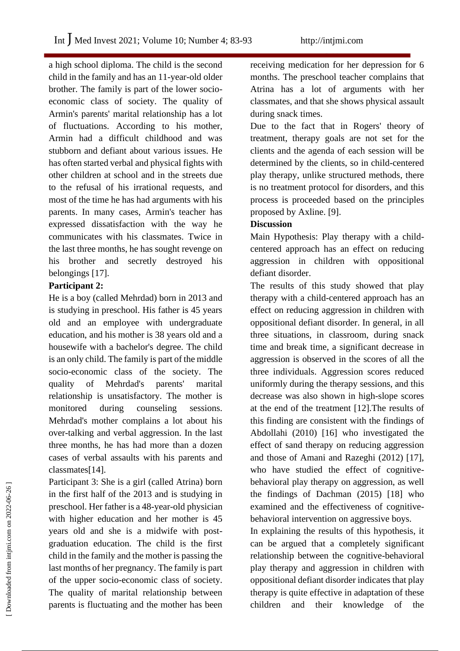a high school diploma. The child is the second child in the family and has an 11-year-old older brother. The family is part of the lower socioeconomic class of society. The quality of Armin's parents' marital relationship has a lot of fluctuations. According to his mother, Armin had a difficult childhood and was stubborn and defiant about various issues. He has often started verbal and physical fights with other children at school and in the streets due to the refusal of his irrational requests, and most of the time he has had arguments with his parents. In many cases, Armin's teacher has expressed dissatisfaction with the way he communicates with his classmates. Twice in the last three months, he has sought revenge on his brother and secretly destroyed his belongings [17].

## **Participant 2:**

He is a boy (called Mehrdad) born in 2013 and is studying in preschool. His father is 45 years old and an employee with undergraduate education, and his mother is 38 years old and a housewife with a bachelor's degree. The child is an only child. The family is part of the middle socio-economic class of the society. The quality of Mehrdad's parents' marital relationship is unsatisfactory. The mother is monitored during counseling sessions. Mehrdad's mother complains a lot about his over-talking and verbal aggression. In the last three months, he has had more than a dozen cases of verbal assaults with his parents and classmates[14].

Participant 3: She is a girl (called Atrina) born in the first half of the 2013 and is studying in preschool. Her father is a 48-year-old physician with higher education and her mother is 45 years old and she is a midwife with postgraduation education. The child is the first child in the family and the mother is passing the last months of her pregnancy. The family is part of the upper socio-economic class of society. The quality of marital relationship between parents is fluctuating and the mother has been

receiving medication for her depression for 6 months. The preschool teacher complains that Atrina has a lot of arguments with her classmates, and that she shows physical assault during snack times.

Due to the fact that in Rogers' theory of treatment, therapy goals are not set for the clients and the agenda of each session will be determined by the clients, so in child-centered play therapy, unlike structured methods, there is no treatment protocol for disorders, and this process is proceeded based on the principles proposed by Axline. [9].

## **Discussion**

Main Hypothesis: Play therapy with a childcentered approach has an effect on reducing aggression in children with oppositional defiant disorder.

The results of this study showed that play therapy with a child-centered approach has an effect on reducing aggression in children with oppositional defiant disorder. In general, in all three situations, in classroom, during snack time and break time, a significant decrease in aggression is observed in the scores of all the three individuals. Aggression scores reduced uniformly during the therapy sessions, and this decrease was also shown in high-slope scores at the end of the treatment [12].The results of this finding are consistent with the findings of Abdollahi (2010) [16] who investigated the effect of sand therapy on reducing aggression and those of Amani and Razeghi (2012) [17], who have studied the effect of cognitivebehavioral play therapy on aggression, as well the findings of Dachman (2015) [18] who examined and the effectiveness of cognitivebehavioral intervention on aggressive boys.

In explaining the results of this hypothesis, it can be argued that a completely significant relationship between the cognitive-behavioral play therapy and aggression in children with oppositional defiant disorder indicates that play therapy is quite effective in adaptation of these children and their knowledge of the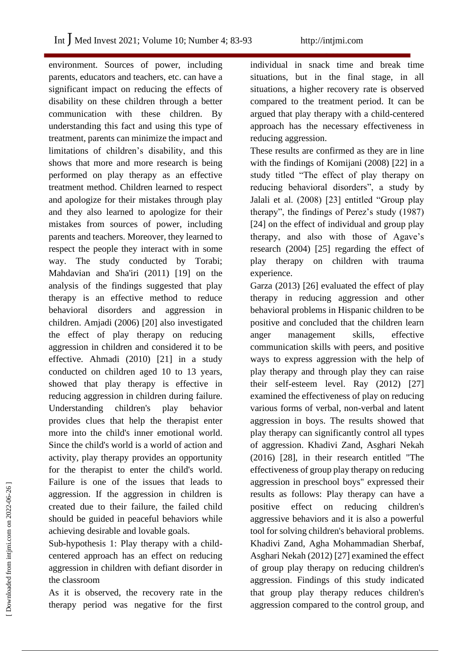environment. Sources of power, including parents, educators and teachers, etc. can have a significant impact on reducing the effects of disability on these children through a better communication with these children. By understanding this fact and using this type of treatment, parents can minimize the impact and limitations of children's disability, and this shows that more and more research is being performed on play therapy as an effective treatment method. Children learned to respect and apologize for their mistakes through play and they also learned to apologize for their mistakes from sources of power, including parents and teachers. Moreover, they learned to respect the people they interact with in some way. The study conducted by Torabi; Mahdavian and Sha'iri (2011) [19] on the analysis of the findings suggested that play therapy is an effective method to reduce behavioral disorders and aggression in children. Amjadi (2006) [20] also investigated the effect of play therapy on reducing aggression in children and considered it to be effective. Ahmadi (2010) [21] in a study conducted on children aged 10 to 13 years, showed that play therapy is effective in reducing aggression in children during failure. Understanding children's play behavior provides clues that help the therapist enter more into the child's inner emotional world. Since the child's world is a world of action and activity, play therapy provides an opportunity for the therapist to enter the child's world. Failure is one of the issues that leads to aggression. If the aggression in children is created due to their failure, the failed child should be guided in peaceful behaviors while achieving desirable and lovable goals.

Sub-hypothesis 1: Play therapy with a childcentered approach has an effect on reducing aggression in children with defiant disorder in the classroom

As it is observed, the recovery rate in the therapy period was negative for the first individual in snack time and break time situations, but in the final stage, in all situations, a higher recovery rate is observed compared to the treatment period. It can be argued that play therapy with a child-centered approach has the necessary effectiveness in reducing aggression.

These results are confirmed as they are in line with the findings of Komijani (2008) [22] in a study titled "The effect of play therapy on reducing behavioral disorders", a study by Jalali et al. (2008) [23] entitled "Group play therapy", the findings of Perez's study (1987) [24] on the effect of individual and group play therapy, and also with those of Agave's research (2004) [25] regarding the effect of play therapy on children with trauma experience.

Garza (2013) [26] evaluated the effect of play therapy in reducing aggression and other behavioral problems in Hispanic children to be positive and concluded that the children learn anger management skills, effective communication skills with peers, and positive ways to express aggression with the help of play therapy and through play they can raise their self-esteem level. Ray (2012) [27] examined the effectiveness of play on reducing various forms of verbal, non-verbal and latent aggression in boys. The results showed that play therapy can significantly control all types of aggression. Khadivi Zand, Asghari Nekah (2016) [28], in their research entitled "The effectiveness of group play therapy on reducing aggression in preschool boys" expressed their results as follows: Play therapy can have a positive effect on reducing children's aggressive behaviors and it is also a powerful tool for solving children's behavioral problems. Khadivi Zand, Agha Mohammadian Sherbaf, Asghari Nekah (2012) [27] examined the effect of group play therapy on reducing children's aggression. Findings of this study indicated that group play therapy reduces children's aggression compared to the control group, and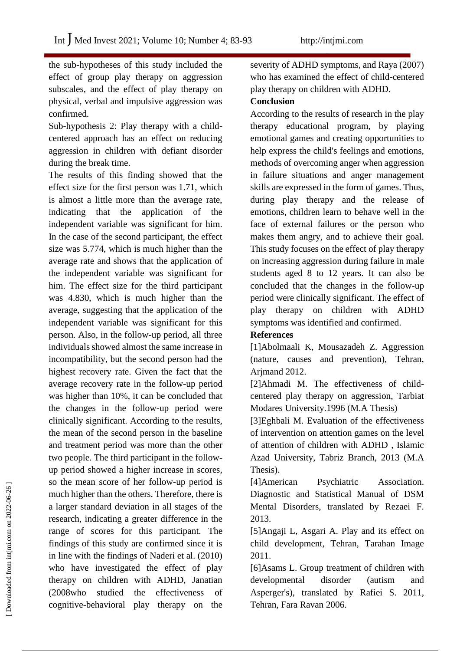the sub-hypotheses of this study included the effect of group play therapy on aggression subscales, and the effect of play therapy on physical, verbal and impulsive aggression was confirmed.

Sub-hypothesis 2: Play therapy with a childcentered approach has an effect on reducing aggression in children with defiant disorder during the break time.

The results of this finding showed that the effect size for the first person was 1.71, which is almost a little more than the average rate, indicating that the application of the independent variable was significant for him. In the case of the second participant, the effect size was 5.774, which is much higher than the average rate and shows that the application of the independent variable was significant for him. The effect size for the third participant was 4.830, which is much higher than the average, suggesting that the application of the independent variable was significant for this person. Also, in the follow-up period, all three individuals showed almost the same increase in incompatibility, but the second person had the highest recovery rate. Given the fact that the average recovery rate in the follow-up period was higher than 10%, it can be concluded that the changes in the follow-up period were clinically significant. According to the results, the mean of the second person in the baseline and treatment period was more than the other two people. The third participant in the followup period showed a higher increase in scores, so the mean score of her follow-up period is much higher than the others. Therefore, there is a larger standard deviation in all stages of the research, indicating a greater difference in the range of scores for this participant. The findings of this study are confirmed since it is in line with the findings of Naderi et al. (2010) who have investigated the effect of play therapy on children with ADHD, Janatian (2008who studied the effectiveness of cognitive-behavioral play therapy on the

severity of ADHD symptoms, and Raya (2007) who has examined the effect of child-centered play therapy on children with ADHD.

#### **Conclusion**

According to the results of research in the play therapy educational program, by playing emotional games and creating opportunities to help express the child's feelings and emotions, methods of overcoming anger when aggression in failure situations and anger management skills are expressed in the form of games. Thus, during play therapy and the release of emotions, children learn to behave well in the face of external failures or the person who makes them angry, and to achieve their goal. This study focuses on the effect of play therapy on increasing aggression during failure in male students aged 8 to 12 years. It can also be concluded that the changes in the follow-up period were clinically significant. The effect of play therapy on children with ADHD symptoms was identified and confirmed.

## **References**

[1]Abolmaali K, Mousazadeh Z. Aggression (nature, causes and prevention), Tehran, Arjmand 2012.

[2]Ahmadi M. The effectiveness of childcentered play therapy on aggression, Tarbiat Modares University.1996 (M.A Thesis)

[3]Eghbali M. Evaluation of the effectiveness of intervention on attention games on the level of attention of children with ADHD , Islamic Azad University, Tabriz Branch, 2013 (M.A Thesis).

[4]American Psychiatric Association. Diagnostic and Statistical Manual of DSM Mental Disorders, translated by Rezaei F. 2013.

[5]Angaji L, Asgari A. Play and its effect on child development, Tehran, Tarahan Image 2011.

[6]Asams L. Group treatment of children with developmental disorder (autism and Asperger's), translated by Rafiei S. 2011, Tehran, Fara Ravan 2006.